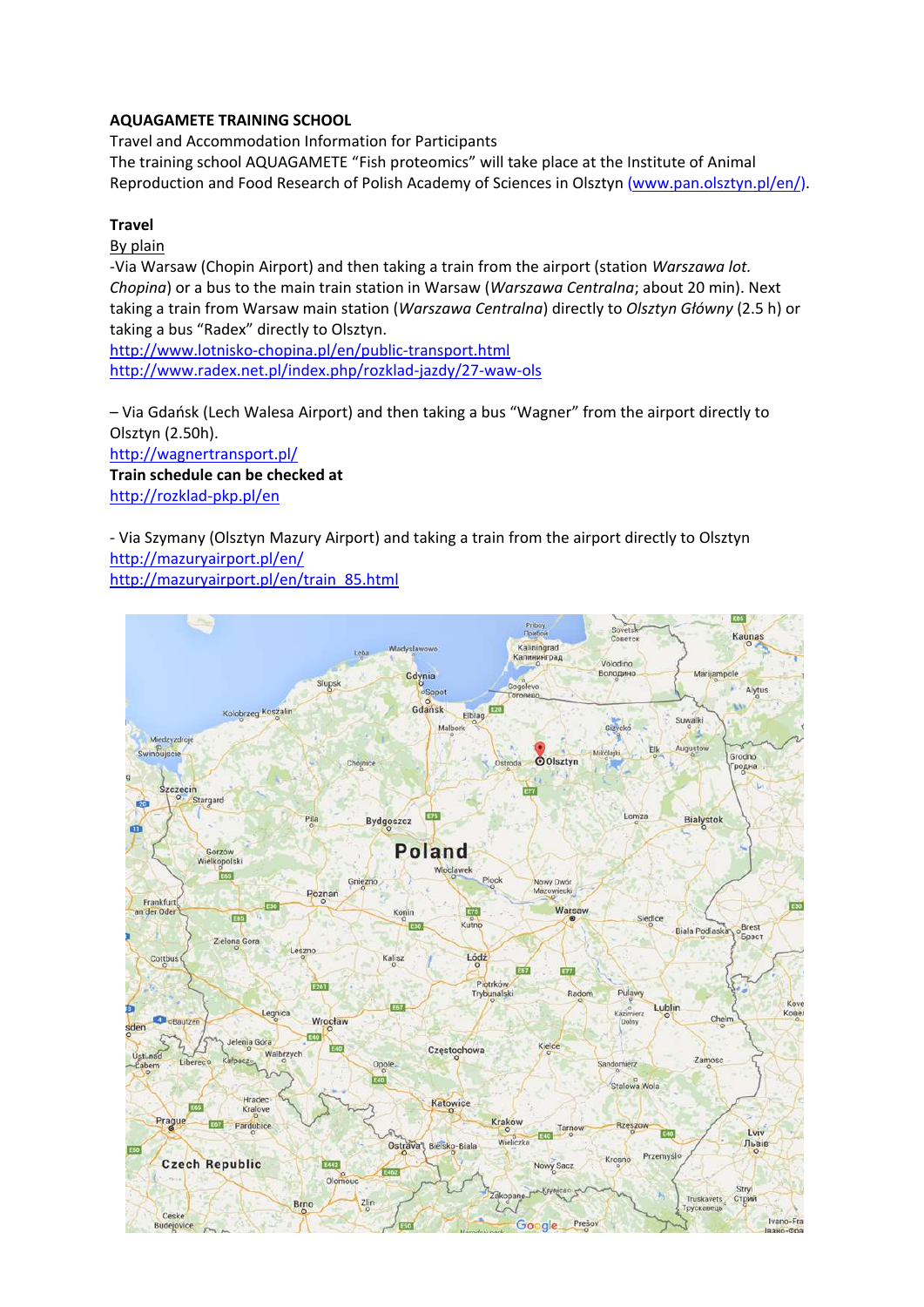## **AQUAGAMETE TRAINING SCHOOL**

Travel and Accommodation Information for Participants The training school AQUAGAMETE "Fish proteomics" will take place at the Institute of Animal Reproduction and Food Research of Polish Academy of Sciences in Olsztyn [\(www.pan.olsztyn.pl/en/\)](http://www.pan.olsztyn.pl/en/).

## **Travel**

## By plain

-Via Warsaw (Chopin Airport) and then taking a train from the airport (station *Warszawa lot. Chopina*) or a bus to the main train station in Warsaw (*Warszawa Centralna*; about 20 min). Next taking a train from Warsaw main station (*Warszawa Centralna*) directly to *Olsztyn Główny* (2.5 h) or taking a bus "Radex" directly to Olsztyn.

<http://www.lotnisko-chopina.pl/en/public-transport.html> <http://www.radex.net.pl/index.php/rozklad-jazdy/27-waw-ols>

– Via Gdańsk (Lech Walesa Airport) and then taking a bus "Wagner" from the airport directly to Olsztyn (2.50h). <http://wagnertransport.pl/>

**Train schedule can be checked at**  <http://rozklad-pkp.pl/en>

- Via Szymany (Olsztyn Mazury Airport) and taking a train from the airport directly to Olsztyn <http://mazuryairport.pl/en/> [http://mazuryairport.pl/en/train\\_85.html](http://mazuryairport.pl/en/train_85.html)

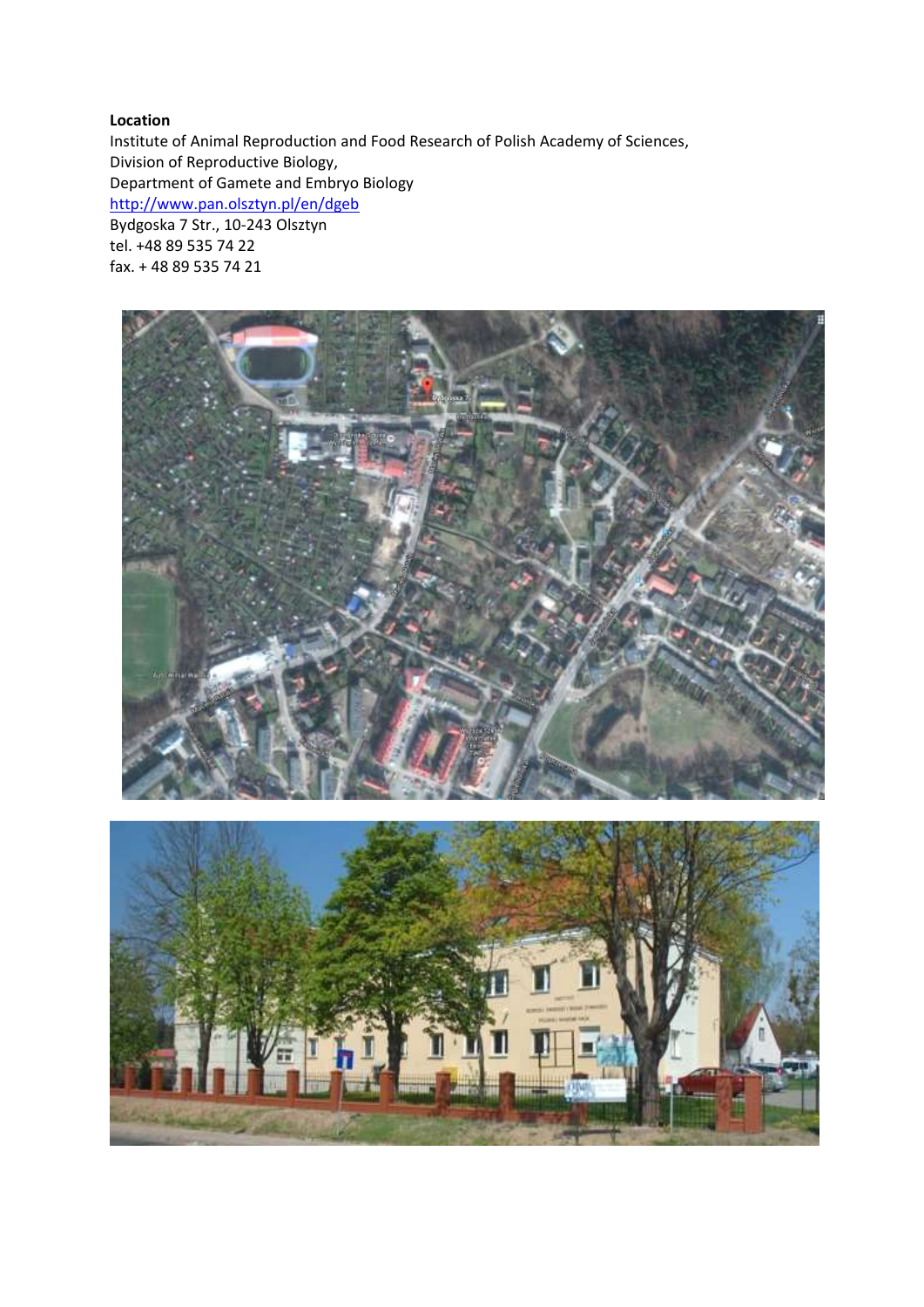## **Location**

Institute of Animal Reproduction and Food Research of Polish Academy of Sciences, Division of Reproductive Biology, Department of Gamete and Embryo Biology <http://www.pan.olsztyn.pl/en/dgeb> Bydgoska 7 Str., 10-243 Olsztyn tel. +48 89 535 74 22 fax. + 48 89 535 74 21